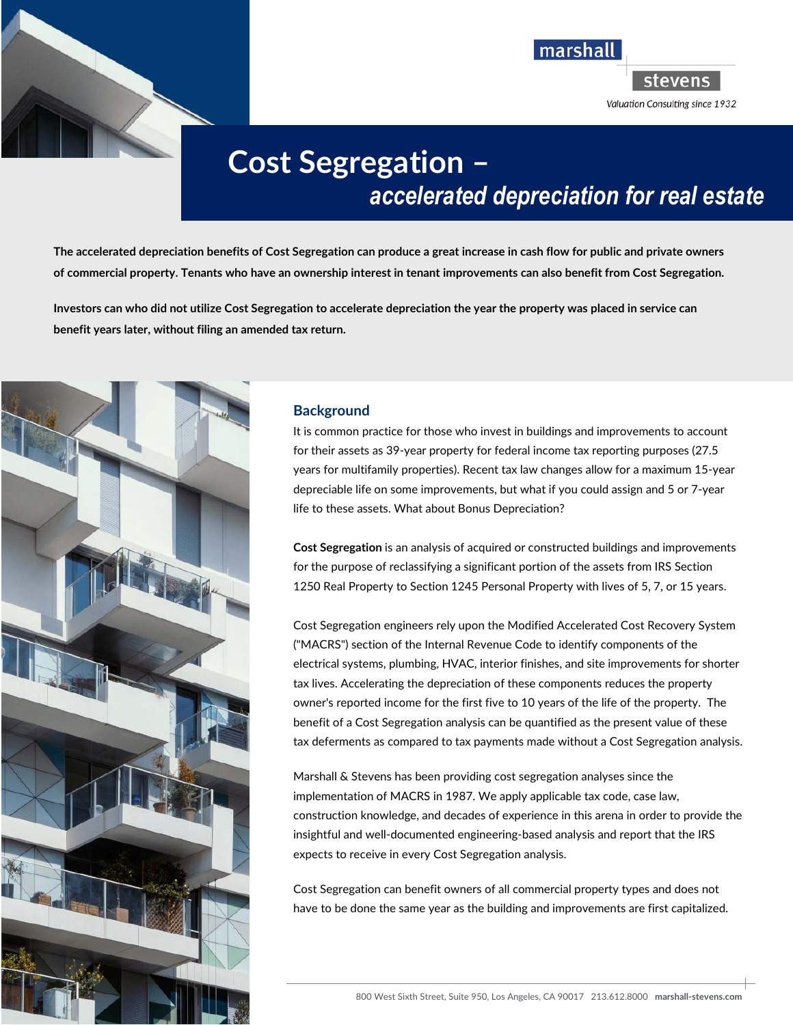



# **Figure Segregation –** *accelerated depreciation for real estate*

**The accelerated depreciation benefits of Cost Segregation can produce a great increase in cash flow for public and private owners of commercial property. Tenants who have an ownership interest in tenant improvements can also benefit from Cost Segregation.** 

**Investors can who did not utilize Cost Segregation to accelerate depreciation the year the property was placed in service can benefit years later, without filing an amended tax return.** 



## **Background**

It is common practice for those who invest in buildings and improvements to account for their assets as 39-year property for federal income tax reporting purposes (27.5 years for multifamily properties). Recent tax law changes allow for a maximum 15-year depreciable life on some improvements, but what if you could assign and 5 or 7-year life to these assets. What about Bonus Depreciation?

**Cost Segregation** is an analysis of acquired or constructed buildings and improvements for the purpose of reclassifying a significant portion of the assets from IRS Section 1250 Real Property to Section 1245 Personal Property with lives of 5, 7, or 15 years.

Cost Segregation engineers rely upon the Modified Accelerated Cost Recovery System ("MACRS") section of the Internal Revenue Code to identify components of the electrical systems, plumbing, HVAC, interior finishes, and site improvements for shorter tax lives. Accelerating the depreciation of these components reduces the property owner's reported income for the first five to 10 years of the life of the property. The benefit of a Cost Segregation analysis can be quantified as the present value of these tax deferments as compared to tax payments made without a Cost Segregation analysis.

Marshall & Stevens has been providing cost segregation analyses since the implementation of MACRS in 1987. We apply applicable tax code, case law, construction knowledge, and decades of experience in this arena in order to provide the insightful and well-documented engineering-based analysis and report that the IRS expects to receive in every Cost Segregation analysis.

Cost Segregation can benefit owners of all commercial property types and does not have to be done the same year as the building and improvements are first capitalized.